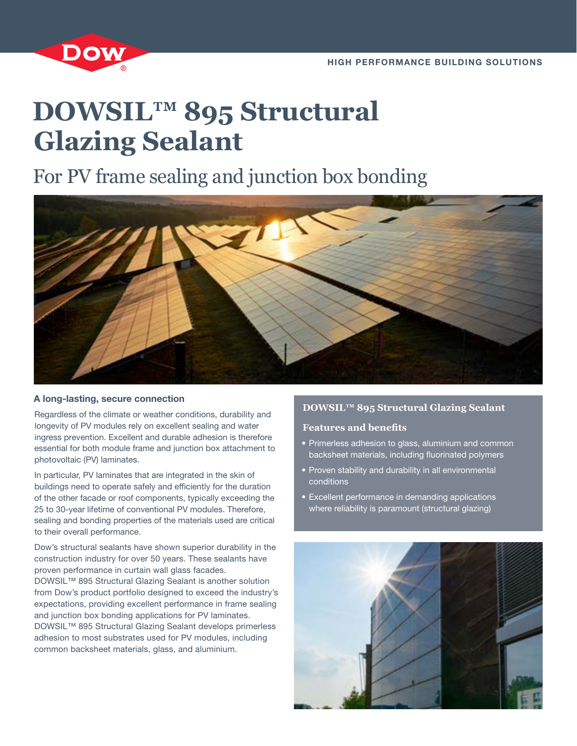

# **DOWSIL™ 895 Structural Glazing Sealant**

# For PV frame sealing and junction box bonding



#### A long-lasting, secure connection

Regardless of the climate or weather conditions, durability and longevity of PV modules rely on excellent sealing and water ingress prevention. Excellent and durable adhesion is therefore essential for both module frame and junction box attachment to photovoltaic (PV) laminates.

In particular, PV laminates that are integrated in the skin of buildings need to operate safely and efficiently for the duration of the other facade or roof components, typically exceeding the 25 to 30-year lifetime of conventional PV modules. Therefore, sealing and bonding properties of the materials used are critical to their overall performance.

Dow's structural sealants have shown superior durability in the construction industry for over 50 years. These sealants have proven performance in curtain wall glass facades. DOWSIL<sup>™</sup> 895 Structural Glazing Sealant is another solution from Dow's product portfolio designed to exceed the industry's expectations, providing excellent performance in frame sealing and junction box bonding applications for PV laminates. DOWSIL<sup>™</sup> 895 Structural Glazing Sealant develops primerless adhesion to most substrates used for PV modules, including common backsheet materials, glass, and aluminium.

#### **DOWSIL™ 895 Structural Glazing Sealant**

#### **Features and benefits**

- Primerless adhesion to glass, aluminium and common backsheet materials, including fluorinated polymers
- Proven stability and durability in all environmental conditions
- Excellent performance in demanding applications where reliability is paramount (structural glazing)